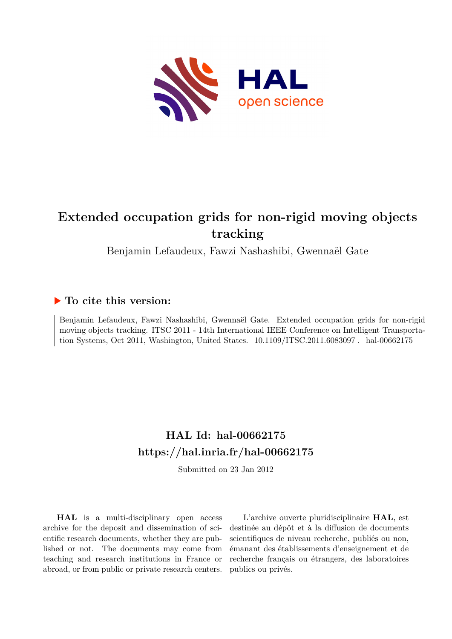

## **Extended occupation grids for non-rigid moving objects tracking**

Benjamin Lefaudeux, Fawzi Nashashibi, Gwennaël Gate

### **To cite this version:**

Benjamin Lefaudeux, Fawzi Nashashibi, Gwennaël Gate. Extended occupation grids for non-rigid moving objects tracking. ITSC 2011 - 14th International IEEE Conference on Intelligent Transportation Systems, Oct 2011, Washington, United States.  $10.1109/ITSC.2011.6083097$ . hal-00662175

## **HAL Id: hal-00662175 <https://hal.inria.fr/hal-00662175>**

Submitted on 23 Jan 2012

**HAL** is a multi-disciplinary open access archive for the deposit and dissemination of scientific research documents, whether they are published or not. The documents may come from teaching and research institutions in France or abroad, or from public or private research centers.

L'archive ouverte pluridisciplinaire **HAL**, est destinée au dépôt et à la diffusion de documents scientifiques de niveau recherche, publiés ou non, émanant des établissements d'enseignement et de recherche français ou étrangers, des laboratoires publics ou privés.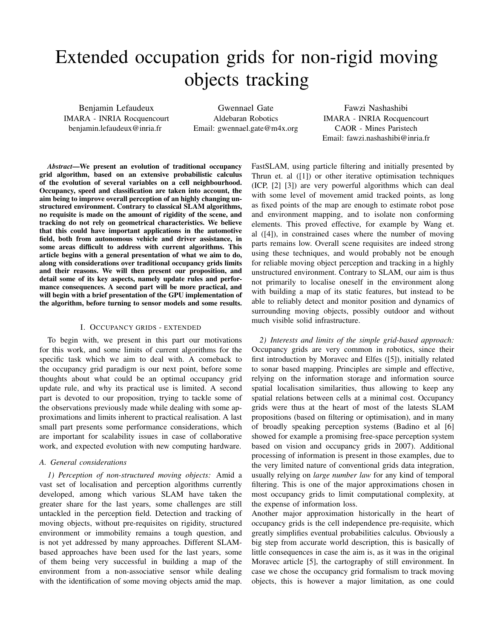# Extended occupation grids for non-rigid moving objects tracking

Benjamin Lefaudeux IMARA - INRIA Rocquencourt benjamin.lefaudeux@inria.fr

Gwennael Gate Aldebaran Robotics Email: gwennael.gate@m4x.org

Fawzi Nashashibi IMARA - INRIA Rocquencourt CAOR - Mines Paristech Email: fawzi.nashashibi@inria.fr

*Abstract*—We present an evolution of traditional occupancy grid algorithm, based on an extensive probabilistic calculus of the evolution of several variables on a cell neighbourhood. Occupancy, speed and classification are taken into account, the aim being to improve overall perception of an highly changing unstructured environment. Contrary to classical SLAM algorithms, no requisite is made on the amount of rigidity of the scene, and tracking do not rely on geometrical characteristics. We believe that this could have important applications in the automotive field, both from autonomous vehicle and driver assistance, in some areas difficult to address with current algorithms. This article begins with a general presentation of what we aim to do, along with considerations over traditional occupancy grids limits and their reasons. We will then present our proposition, and detail some of its key aspects, namely update rules and performance consequences. A second part will be more practical, and will begin with a brief presentation of the GPU implementation of the algorithm, before turning to sensor models and some results.

#### I. OCCUPANCY GRIDS - EXTENDED

To begin with, we present in this part our motivations for this work, and some limits of current algorithms for the specific task which we aim to deal with. A comeback to the occupancy grid paradigm is our next point, before some thoughts about what could be an optimal occupancy grid update rule, and why its practical use is limited. A second part is devoted to our proposition, trying to tackle some of the observations previously made while dealing with some approximations and limits inherent to practical realisation. A last small part presents some performance considerations, which are important for scalability issues in case of collaborative work, and expected evolution with new computing hardware.

#### *A. General considerations*

*1) Perception of non-structured moving objects:* Amid a vast set of localisation and perception algorithms currently developed, among which various SLAM have taken the greater share for the last years, some challenges are still untackled in the perception field. Detection and tracking of moving objects, without pre-requisites on rigidity, structured environment or immobility remains a tough question, and is not yet addressed by many approaches. Different SLAMbased approaches have been used for the last years, some of them being very successful in building a map of the environment from a non-associative sensor while dealing with the identification of some moving objects amid the map. FastSLAM, using particle filtering and initially presented by Thrun et. al ([1]) or other iterative optimisation techniques (ICP, [2] [3]) are very powerful algorithms which can deal with some level of movement amid tracked points, as long as fixed points of the map are enough to estimate robot pose and environment mapping, and to isolate non conforming elements. This proved effective, for example by Wang et. al ([4]), in constrained cases where the number of moving parts remains low. Overall scene requisites are indeed strong using these techniques, and would probably not be enough for reliable moving object perception and tracking in a highly unstructured environment. Contrary to SLAM, our aim is thus not primarily to localise oneself in the environment along with building a map of its static features, but instead to be able to reliably detect and monitor position and dynamics of surrounding moving objects, possibly outdoor and without much visible solid infrastructure.

*2) Interests and limits of the simple grid-based approach:* Occupancy grids are very common in robotics, since their first introduction by Moravec and Elfes ([5]), initially related to sonar based mapping. Principles are simple and effective, relying on the information storage and information source spatial localisation similarities, thus allowing to keep any spatial relations between cells at a minimal cost. Occupancy grids were thus at the heart of most of the latests SLAM propositions (based on filtering or optimisation), and in many of broadly speaking perception systems (Badino et al [6] showed for example a promising free-space perception system based on vision and occupancy grids in 2007). Additional processing of information is present in those examples, due to the very limited nature of conventional grids data integration, usually relying on *large number law* for any kind of temporal filtering. This is one of the major approximations chosen in most occupancy grids to limit computational complexity, at the expense of information loss.

Another major approximation historically in the heart of occupancy grids is the cell independence pre-requisite, which greatly simplifies eventual probabilities calculus. Obviously a big step from accurate world description, this is basically of little consequences in case the aim is, as it was in the original Moravec article [5], the cartography of still environment. In case we chose the occupancy grid formalism to track moving objects, this is however a major limitation, as one could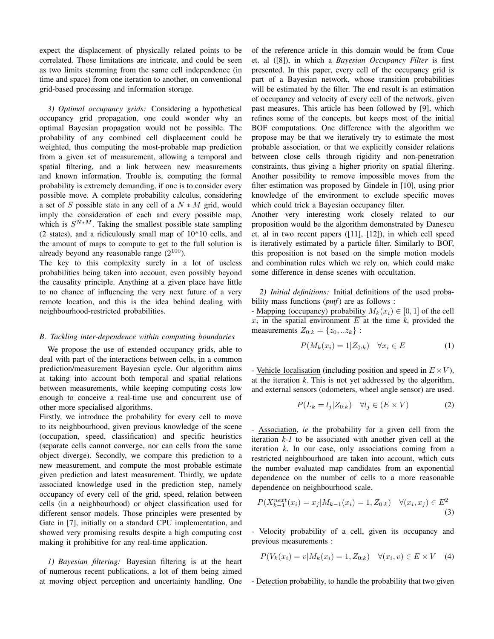expect the displacement of physically related points to be correlated. Those limitations are intricate, and could be seen as two limits stemming from the same cell independence (in time and space) from one iteration to another, on conventional grid-based processing and information storage.

*3) Optimal occupancy grids:* Considering a hypothetical occupancy grid propagation, one could wonder why an optimal Bayesian propagation would not be possible. The probability of any combined cell displacement could be weighted, thus computing the most-probable map prediction from a given set of measurement, allowing a temporal and spatial filtering, and a link between new measurements and known information. Trouble is, computing the formal probability is extremely demanding, if one is to consider every possible move. A complete probability calculus, considering a set of S possible state in any cell of a  $N * M$  grid, would imply the consideration of each and every possible map, which is  $S^{N*M}$ . Taking the smallest possible state sampling (2 states), and a ridiculously small map of 10\*10 cells, and the amount of maps to compute to get to the full solution is already beyond any reasonable range  $(2^{100})$ .

The key to this complexity surely in a lot of useless probabilities being taken into account, even possibly beyond the causality principle. Anything at a given place have little to no chance of influencing the very next future of a very remote location, and this is the idea behind dealing with neighbourhood-restricted probabilities.

#### *B. Tackling inter-dependence within computing boundaries*

We propose the use of extended occupancy grids, able to deal with part of the interactions between cells, in a common prediction/measurement Bayesian cycle. Our algorithm aims at taking into account both temporal and spatial relations between measurements, while keeping computing costs low enough to conceive a real-time use and concurrent use of other more specialised algorithms.

Firstly, we introduce the probability for every cell to move to its neighbourhood, given previous knowledge of the scene (occupation, speed, classification) and specific heuristics (separate cells cannot converge, nor can cells from the same object diverge). Secondly, we compare this prediction to a new measurement, and compute the most probable estimate given prediction and latest measurement. Thirdly, we update associated knowledge used in the prediction step, namely occupancy of every cell of the grid, speed, relation between cells (in a neighbourhood) or object classification used for different sensor models. Those principles were presented by Gate in [7], initially on a standard CPU implementation, and showed very promising results despite a high computing cost making it prohibitive for any real-time application.

*1) Bayesian filtering:* Bayesian filtering is at the heart of numerous recent publications, a lot of them being aimed at moving object perception and uncertainty handling. One

of the reference article in this domain would be from Coue et. al ([8]), in which a *Bayesian Occupancy Filter* is first presented. In this paper, every cell of the occupancy grid is part of a Bayesian network, whose transition probabilities will be estimated by the filter. The end result is an estimation of occupancy and velocity of every cell of the network, given past measures. This article has been followed by [9], which refines some of the concepts, but keeps most of the initial BOF computations. One difference with the algorithm we propose may be that we iteratively try to estimate the most probable association, or that we explicitly consider relations between close cells through rigidity and non-penetration constraints, thus giving a higher priority on spatial filtering. Another possibility to remove impossible moves from the filter estimation was proposed by Gindele in [10], using prior knowledge of the environment to exclude specific moves which could trick a Bayesian occupancy filter.

Another very interesting work closely related to our proposition would be the algorithm demonstrated by Danescu et. al in two recent papers ([11], [12]), in which cell speed is iteratively estimated by a particle filter. Similarly to BOF, this proposition is not based on the simple motion models and combination rules which we rely on, which could make some difference in dense scenes with occultation.

*2) Initial definitions:* Initial definitions of the used probability mass functions (*pmf*) are as follows :

- Mapping (occupancy) probability  $M_k(x_i) \in [0, 1]$  of the cell  $x_i$  in the spatial environment  $E$  at the time  $k$ , provided the measurements  $Z_{0:k} = \{z_0, \ldots z_k\}$ :

$$
P(M_k(x_i) = 1 | Z_{0:k}) \quad \forall x_i \in E \tag{1}
$$

- Vehicle localisation (including position and speed in  $E \times V$ ), at the iteration *k*. This is not yet addressed by the algorithm, and external sensors (odometers, wheel angle sensor) are used.

$$
P(L_k = l_j | Z_{0:k}) \quad \forall l_j \in (E \times V) \tag{2}
$$

- Association, *ie* the probability for a given cell from the iteration *k-1* to be associated with another given cell at the iteration *k*. In our case, only associations coming from a restricted neighbourhood are taken into account, which cuts the number evaluated map candidates from an exponential dependence on the number of cells to a more reasonable dependence on neighbourhood scale.

$$
P(X_{k-1}^{next}(x_i) = x_j | M_{k-1}(x_i) = 1, Z_{0:k}) \quad \forall (x_i, x_j) \in E^2
$$
\n(3)

- Velocity probability of a cell, given its occupancy and previous measurements :

$$
P(V_k(x_i) = v | M_k(x_i) = 1, Z_{0:k}) \quad \forall (x_i, v) \in E \times V \quad (4)
$$

- Detection probability, to handle the probability that two given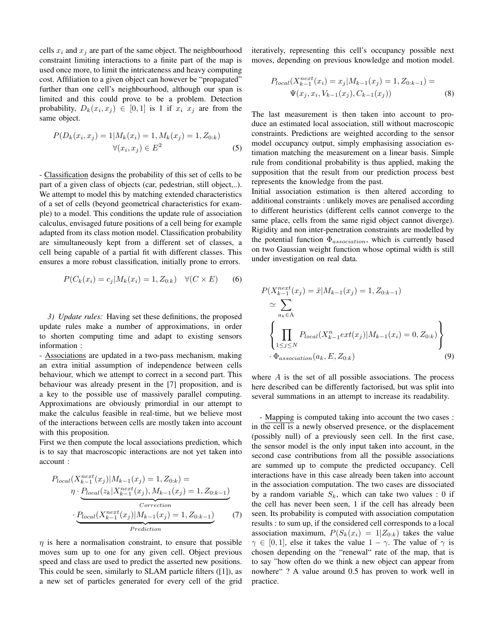cells  $x_i$  and  $x_j$  are part of the same object. The neighbourhood constraint limiting interactions to a finite part of the map is used once more, to limit the intricateness and heavy computing cost. Affiliation to a given object can however be "propagated" further than one cell's neighbourhood, although our span is limited and this could prove to be a problem. Detection probability,  $D_k(x_i, x_j) \in [0, 1]$  is 1 if  $x_i$   $x_j$  are from the same object.

$$
P(D_k(x_i, x_j) = 1 | M_k(x_i) = 1, M_k(x_j) = 1, Z_{0:k})
$$
  

$$
\forall (x_i, x_j) \in E^2
$$
 (5)

- Classification designs the probability of this set of cells to be part of a given class of objects (car, pedestrian, still object,..). We attempt to model this by matching extended characteristics of a set of cells (beyond geometrical characteristics for example) to a model. This conditions the update rule of association calculus, envisaged future positions of a cell being for example adapted from its class motion model. Classification probability are simultaneously kept from a different set of classes, a cell being capable of a partial fit with different classes. This ensures a more robust classification, initially prone to errors.

$$
P(C_k(x_i) = c_j | M_k(x_i) = 1, Z_{0:k}) \quad \forall (C \times E) \tag{6}
$$

*3) Update rules:* Having set these definitions, the proposed update rules make a number of approximations, in order to shorten computing time and adapt to existing sensors information :

- Associations are updated in a two-pass mechanism, making an extra initial assumption of independence between cells behaviour, which we attempt to correct in a second part. This behaviour was already present in the [7] proposition, and is a key to the possible use of massively parallel computing. Approximations are obviously primordial in our attempt to make the calculus feasible in real-time, but we believe most of the interactions between cells are mostly taken into account with this proposition.

First we then compute the local associations prediction, which is to say that macroscopic interactions are not yet taken into account :

$$
P_{local}(X_{k-1}^{next}(x_j)|M_{k-1}(x_j) = 1, Z_{0:k}) =
$$
\n
$$
\eta \cdot \underbrace{P_{local}(z_k|X_{k-1}^{next}(x_j), M_{k-1}(x_j) = 1, Z_{0:k-1})}_{Correction}
$$
\n
$$
\cdot \underbrace{P_{local}(X_{k-1}^{next}(x_j)|M_{k-1}(x_j) = 1, Z_{0:k-1})}_{Prediction}
$$
\n(7)

 $\eta$  is here a normalisation constraint, to ensure that possible moves sum up to one for any given cell. Object previous speed and class are used to predict the asserted new positions. This could be seen, similarly to SLAM particle filters ([1]), as a new set of particles generated for every cell of the grid iteratively, representing this cell's occupancy possible next moves, depending on previous knowledge and motion model.

$$
P_{local}(X_{k-1}^{next}(x_i) = x_j | M_{k-1}(x_j) = 1, Z_{0:k-1}) =
$$
  

$$
\Psi(x_j, x_i, V_{k-1}(x_j), C_{k-1}(x_j))
$$
 (8)

The last measurement is then taken into account to produce an estimated local association, still without macroscopic constraints. Predictions are weighted according to the sensor model occupancy output, simply emphasising association estimation matching the measurement on a linear basis. Simple rule from conditional probability is thus applied, making the supposition that the result from our prediction process best represents the knowledge from the past.

Initial association estimation is then altered according to additional constraints : unlikely moves are penalised according to different heuristics (different cells cannot converge to the same place, cells from the same rigid object cannot diverge). Rigidity and non inter-penetration constraints are modelled by the potential function  $\Phi$ <sub>association</sub>, which is currently based on two Gaussian weight function whose optimal width is still under investigation on real data.

$$
P(X_{k-1}^{next}(x_j) = \hat{x}|M_{k-1}(x_j) = 1, Z_{0:k-1})
$$
  
\n
$$
\simeq \sum_{a_k \in A} P_{local}(X_{k-1}^n ext(x_j)|M_{k-1}(x_i) = 0, Z_{0:k})
$$
  
\n
$$
\left\{ \prod_{1 \le j \le N} P_{local}(X_{k-1}^n ext(x_j)|M_{k-1}(x_i) = 0, Z_{0:k}) \right\}
$$
  
\n
$$
\cdot \Phi_{association}(a_k, E, Z_{0:k})
$$
\n(9)

where  $A$  is the set of all possible associations. The process here described can be differently factorised, but was split into several summations in an attempt to increase its readability.

- Mapping is computed taking into account the two cases : in the cell is a newly observed presence, or the displacement (possibly null) of a previously seen cell. In the first case, the sensor model is the only input taken into account, in the second case contributions from all the possible associations are summed up to compute the predicted occupancy. Cell interactions have in this case already been taken into account in the association computation. The two cases are dissociated by a random variable  $S_k$ , which can take two values : 0 if the cell has never been seen, 1 if the cell has already been seen. Its probability is computed with association computation results : to sum up, if the considered cell corresponds to a local association maximum,  $P(S_k(x_i) = 1 | Z_{0:k})$  takes the value  $\gamma \in [0, 1]$ , else it takes the value  $1 - \gamma$ . The value of  $\gamma$  is chosen depending on the "renewal" rate of the map, that is to say "how often do we think a new object can appear from nowhere" ? A value around 0.5 has proven to work well in practice.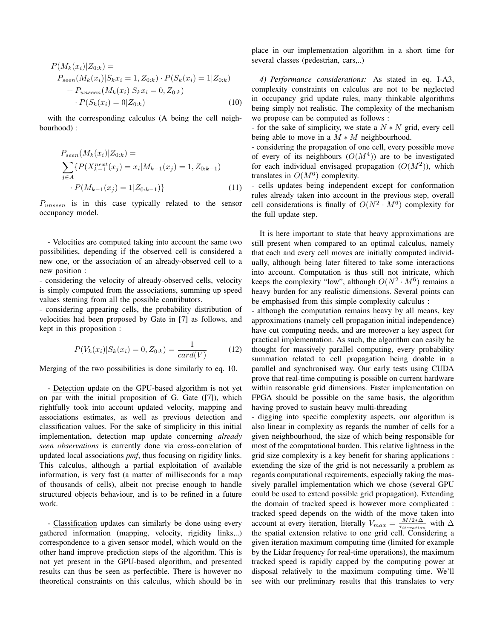$$
P(M_k(x_i)|Z_{0:k}) =
$$
  
\n
$$
P_{seen}(M_k(x_i)|S_kx_i = 1, Z_{0:k}) \cdot P(S_k(x_i) = 1|Z_{0:k})
$$
  
\n
$$
+ P_{unseen}(M_k(x_i)|S_kx_i = 0, Z_{0:k})
$$
  
\n
$$
\cdot P(S_k(x_i) = 0|Z_{0:k})
$$
\n(10)

with the corresponding calculus (A being the cell neighbourhood) :

$$
P_{seen}(M_k(x_i)|Z_{0:k}) =
$$
  
\n
$$
\sum_{j \in A} \{ P(X_{k-1}^{next}(x_j) = x_i | M_{k-1}(x_j) = 1, Z_{0:k-1})
$$
  
\n
$$
\cdot P(M_{k-1}(x_j) = 1 | Z_{0:k-1}) \}
$$
\n(11)

 $P_{unseen}$  is in this case typically related to the sensor occupancy model.

- Velocities are computed taking into account the same two possibilities, depending if the observed cell is considered a new one, or the association of an already-observed cell to a new position :

- considering the velocity of already-observed cells, velocity is simply computed from the associations, summing up speed values steming from all the possible contributors.

- considering appearing cells, the probability distribution of velocities had been proposed by Gate in [7] as follows, and kept in this proposition :

$$
P(V_k(x_i)|S_k(x_i) = 0, Z_{0:k}) = \frac{1}{card(V)}
$$
 (12)

Merging of the two possibilities is done similarly to eq. 10.

- Detection update on the GPU-based algorithm is not yet on par with the initial proposition of G. Gate ([7]), which rightfully took into account updated velocity, mapping and associations estimates, as well as previous detection and classification values. For the sake of simplicity in this initial implementation, detection map update concerning *already seen observations* is currently done via cross-correlation of updated local associations *pmf*, thus focusing on rigidity links. This calculus, although a partial exploitation of available information, is very fast (a matter of milliseconds for a map of thousands of cells), albeit not precise enough to handle structured objects behaviour, and is to be refined in a future work.

- Classification updates can similarly be done using every gathered information (mapping, velocity, rigidity links,..) correspondence to a given sensor model, which would on the other hand improve prediction steps of the algorithm. This is not yet present in the GPU-based algorithm, and presented results can thus be seen as perfectible. There is however no theoretical constraints on this calculus, which should be in place in our implementation algorithm in a short time for several classes (pedestrian, cars,..)

*4) Performance considerations:* As stated in eq. I-A3, complexity constraints on calculus are not to be neglected in occupancy grid update rules, many thinkable algorithms being simply not realistic. The complexity of the mechanism we propose can be computed as follows :

- for the sake of simplicity, we state a  $N*N$  grid, every cell being able to move in a  $M * M$  neighbourhood.

- considering the propagation of one cell, every possible move of every of its neighbours  $(O(M<sup>4</sup>))$  are to be investigated for each individual envisaged propagation  $(O(M^2))$ , which translates in  $O(M^6)$  complexity.

- cells updates being independent except for conformation rules already taken into account in the previous step, overall cell considerations is finally of  $O(N^2 \cdot M^6)$  complexity for the full update step.

It is here important to state that heavy approximations are still present when compared to an optimal calculus, namely that each and every cell moves are initially computed individually, although being later filtered to take some interactions into account. Computation is thus still not intricate, which keeps the complexity "low", although  $O(N^2 \cdot M^6)$  remains a heavy burden for any realistic dimensions. Several points can be emphasised from this simple complexity calculus :

- although the computation remains heavy by all means, key approximations (namely cell propagation initial independence) have cut computing needs, and are moreover a key aspect for practical implementation. As such, the algorithm can easily be thought for massively parallel computing, every probability summation related to cell propagation being doable in a parallel and synchronised way. Our early tests using CUDA prove that real-time computing is possible on current hardware within reasonable grid dimensions. Faster implementation on FPGA should be possible on the same basis, the algorithm having proved to sustain heavy multi-threading

- digging into specific complexity aspects, our algorithm is also linear in complexity as regards the number of cells for a given neighbourhood, the size of which being responsible for most of the computational burden. This relative lightness in the grid size complexity is a key benefit for sharing applications : extending the size of the grid is not necessarily a problem as regards computational requirements, especially taking the massively parallel implementation which we chose (several GPU could be used to extend possible grid propagation). Extending the domain of tracked speed is however more complicated : tracked speed depends on the width of the move taken into account at every iteration, literally  $V_{max} = \frac{M/2 * \Delta}{T_{transit}}$  $\frac{M/2*\Delta}{\tau_{iteration}}$  with  $\Delta$ the spatial extension relative to one grid cell. Considering a given iteration maximum computing time (limited for example by the Lidar frequency for real-time operations), the maximum tracked speed is rapidly capped by the computing power at disposal relatively to the maximum computing time. We'll see with our preliminary results that this translates to very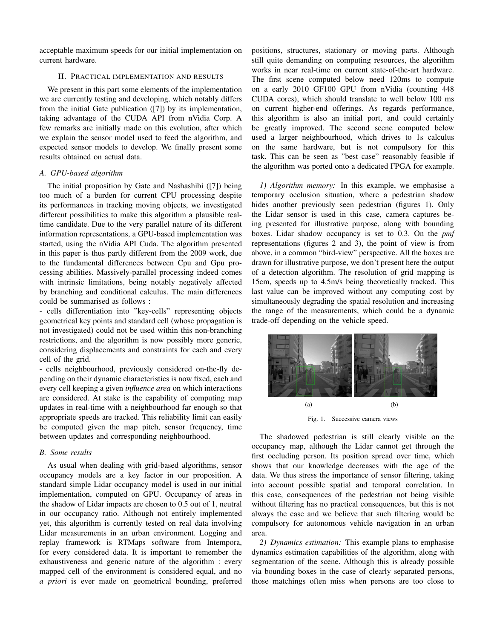acceptable maximum speeds for our initial implementation on current hardware.

#### II. PRACTICAL IMPLEMENTATION AND RESULTS

We present in this part some elements of the implementation we are currently testing and developing, which notably differs from the initial Gate publication ([7]) by its implementation, taking advantage of the CUDA API from nVidia Corp. A few remarks are initially made on this evolution, after which we explain the sensor model used to feed the algorithm, and expected sensor models to develop. We finally present some results obtained on actual data.

#### *A. GPU-based algorithm*

The initial proposition by Gate and Nashashibi ([7]) being too much of a burden for current CPU processing despite its performances in tracking moving objects, we investigated different possibilities to make this algorithm a plausible realtime candidate. Due to the very parallel nature of its different information representations, a GPU-based implementation was started, using the nVidia API Cuda. The algorithm presented in this paper is thus partly different from the 2009 work, due to the fundamental differences between Cpu and Gpu processing abilities. Massively-parallel processing indeed comes with intrinsic limitations, being notably negatively affected by branching and conditional calculus. The main differences could be summarised as follows :

- cells differentiation into "key-cells" representing objects geometrical key points and standard cell (whose propagation is not investigated) could not be used within this non-branching restrictions, and the algorithm is now possibly more generic, considering displacements and constraints for each and every cell of the grid.

- cells neighbourhood, previously considered on-the-fly depending on their dynamic characteristics is now fixed, each and every cell keeping a given *influence area* on which interactions are considered. At stake is the capability of computing map updates in real-time with a neighbourhood far enough so that appropriate speeds are tracked. This reliability limit can easily be computed given the map pitch, sensor frequency, time between updates and corresponding neighbourhood.

#### *B. Some results*

As usual when dealing with grid-based algorithms, sensor occupancy models are a key factor in our proposition. A standard simple Lidar occupancy model is used in our initial implementation, computed on GPU. Occupancy of areas in the shadow of Lidar impacts are chosen to 0.5 out of 1, neutral in our occupancy ratio. Although not entirely implemented yet, this algorithm is currently tested on real data involving Lidar measurements in an urban environment. Logging and replay framework is RTMaps software from Intempora, for every considered data. It is important to remember the exhaustiveness and generic nature of the algorithm : every mapped cell of the environment is considered equal, and no *a priori* is ever made on geometrical bounding, preferred

positions, structures, stationary or moving parts. Although still quite demanding on computing resources, the algorithm works in near real-time on current state-of-the-art hardware. The first scene computed below need 120ms to compute on a early 2010 GF100 GPU from nVidia (counting 448 CUDA cores), which should translate to well below 100 ms on current higher-end offerings. As regards performance, this algorithm is also an initial port, and could certainly be greatly improved. The second scene computed below used a larger neighbourhood, which drives to 1s calculus on the same hardware, but is not compulsory for this task. This can be seen as "best case" reasonably feasible if the algorithm was ported onto a dedicated FPGA for example.

*1) Algorithm memory:* In this example, we emphasise a temporary occlusion situation, where a pedestrian shadow hides another previously seen pedestrian (figures 1). Only the Lidar sensor is used in this case, camera captures being presented for illustrative purpose, along with bounding boxes. Lidar shadow occupancy is set to 0.3. On the *pmf* representations (figures 2 and 3), the point of view is from above, in a common "bird-view" perspective. All the boxes are drawn for illustrative purpose, we don't present here the output of a detection algorithm. The resolution of grid mapping is 15cm, speeds up to 4.5m/s being theoretically tracked. This last value can be improved without any computing cost by simultaneously degrading the spatial resolution and increasing the range of the measurements, which could be a dynamic trade-off depending on the vehicle speed.



Fig. 1. Successive camera views

The shadowed pedestrian is still clearly visible on the occupancy map, although the Lidar cannot get through the first occluding person. Its position spread over time, which shows that our knowledge decreases with the age of the data. We thus stress the importance of sensor filtering, taking into account possible spatial and temporal correlation. In this case, consequences of the pedestrian not being visible without filtering has no practical consequences, but this is not always the case and we believe that such filtering would be compulsory for autonomous vehicle navigation in an urban area.

*2) Dynamics estimation:* This example plans to emphasise dynamics estimation capabilities of the algorithm, along with segmentation of the scene. Although this is already possible via bounding boxes in the case of clearly separated persons, those matchings often miss when persons are too close to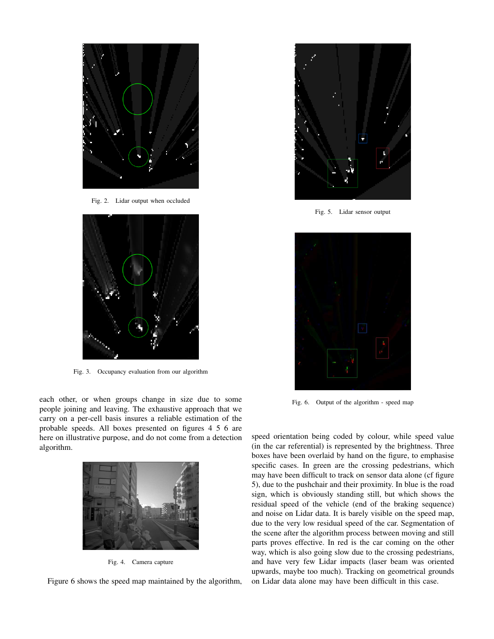

Fig. 2. Lidar output when occluded



Fig. 3. Occupancy evaluation from our algorithm

each other, or when groups change in size due to some people joining and leaving. The exhaustive approach that we carry on a per-cell basis insures a reliable estimation of the probable speeds. All boxes presented on figures 4 5 6 are here on illustrative purpose, and do not come from a detection algorithm.



Fig. 4. Camera capture

Figure 6 shows the speed map maintained by the algorithm,



Fig. 5. Lidar sensor output



Fig. 6. Output of the algorithm - speed map

speed orientation being coded by colour, while speed value (in the car referential) is represented by the brightness. Three boxes have been overlaid by hand on the figure, to emphasise specific cases. In green are the crossing pedestrians, which may have been difficult to track on sensor data alone (cf figure 5), due to the pushchair and their proximity. In blue is the road sign, which is obviously standing still, but which shows the residual speed of the vehicle (end of the braking sequence) and noise on Lidar data. It is barely visible on the speed map, due to the very low residual speed of the car. Segmentation of the scene after the algorithm process between moving and still parts proves effective. In red is the car coming on the other way, which is also going slow due to the crossing pedestrians, and have very few Lidar impacts (laser beam was oriented upwards, maybe too much). Tracking on geometrical grounds on Lidar data alone may have been difficult in this case.